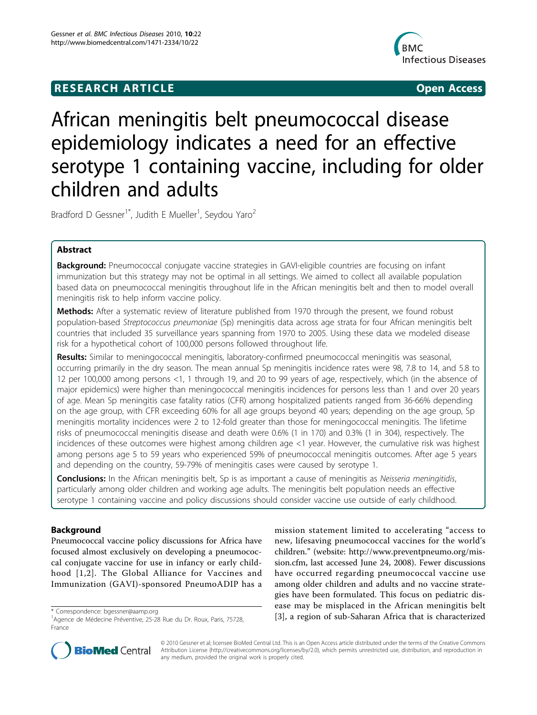## **RESEARCH ARTICLE Example 2018 CONSUMING ACCESS**



# African meningitis belt pneumococcal disease epidemiology indicates a need for an effective serotype 1 containing vaccine, including for older children and adults

Bradford D Gessner<sup>1\*</sup>, Judith E Mueller<sup>1</sup>, Seydou Yaro<sup>2</sup>

## Abstract

Background: Pneumococcal conjugate vaccine strategies in GAVI-eligible countries are focusing on infant immunization but this strategy may not be optimal in all settings. We aimed to collect all available population based data on pneumococcal meningitis throughout life in the African meningitis belt and then to model overall meningitis risk to help inform vaccine policy.

**Methods:** After a systematic review of literature published from 1970 through the present, we found robust population-based Streptococcus pneumoniae (Sp) meningitis data across age strata for four African meningitis belt countries that included 35 surveillance years spanning from 1970 to 2005. Using these data we modeled disease risk for a hypothetical cohort of 100,000 persons followed throughout life.

Results: Similar to meningococcal meningitis, laboratory-confirmed pneumococcal meningitis was seasonal, occurring primarily in the dry season. The mean annual Sp meningitis incidence rates were 98, 7.8 to 14, and 5.8 to 12 per 100,000 among persons <1, 1 through 19, and 20 to 99 years of age, respectively, which (in the absence of major epidemics) were higher than meningococcal meningitis incidences for persons less than 1 and over 20 years of age. Mean Sp meningitis case fatality ratios (CFR) among hospitalized patients ranged from 36-66% depending on the age group, with CFR exceeding 60% for all age groups beyond 40 years; depending on the age group, Sp meningitis mortality incidences were 2 to 12-fold greater than those for meningococcal meningitis. The lifetime risks of pneumococcal meningitis disease and death were 0.6% (1 in 170) and 0.3% (1 in 304), respectively. The incidences of these outcomes were highest among children age <1 year. However, the cumulative risk was highest among persons age 5 to 59 years who experienced 59% of pneumococcal meningitis outcomes. After age 5 years and depending on the country, 59-79% of meningitis cases were caused by serotype 1.

Conclusions: In the African meningitis belt, Sp is as important a cause of meningitis as Neisseria meningitidis, particularly among older children and working age adults. The meningitis belt population needs an effective serotype 1 containing vaccine and policy discussions should consider vaccine use outside of early childhood.

## Background

Pneumococcal vaccine policy discussions for Africa have focused almost exclusively on developing a pneumococcal conjugate vaccine for use in infancy or early childhood [[1](#page-8-0),[2](#page-8-0)]. The Global Alliance for Vaccines and Immunization (GAVI)-sponsored PneumoADIP has a

mission statement limited to accelerating "access to new, lifesaving pneumococcal vaccines for the world's children." (website: [http://www.preventpneumo.org/mis](http://www.preventpneumo.org/mission.cfm)[sion.cfm](http://www.preventpneumo.org/mission.cfm), last accessed June 24, 2008). Fewer discussions have occurred regarding pneumococcal vaccine use among older children and adults and no vaccine strategies have been formulated. This focus on pediatric disease may be misplaced in the African meningitis belt \* Correspondence: bgessner@aamp.org<br><sup>1</sup>Agence de Médecine Préventive 25-28 Rue du Dr. Roux Paris, 75728 [[3\]](#page-8-0), **a region of sub-Saharan Africa that is characterized** 



© 2010 Gessner et al; licensee BioMed Central Ltd. This is an Open Access article distributed under the terms of the Creative Commons Attribution License [\(http://creativecommons.org/licenses/by/2.0](http://creativecommons.org/licenses/by/2.0)), which permits unrestricted use, distribution, and reproduction in any medium, provided the original work is properly cited.

<sup>&</sup>lt;sup>1</sup>Agence de Médecine Préventive, 25-28 Rue du Dr. Roux, Paris, 75728, France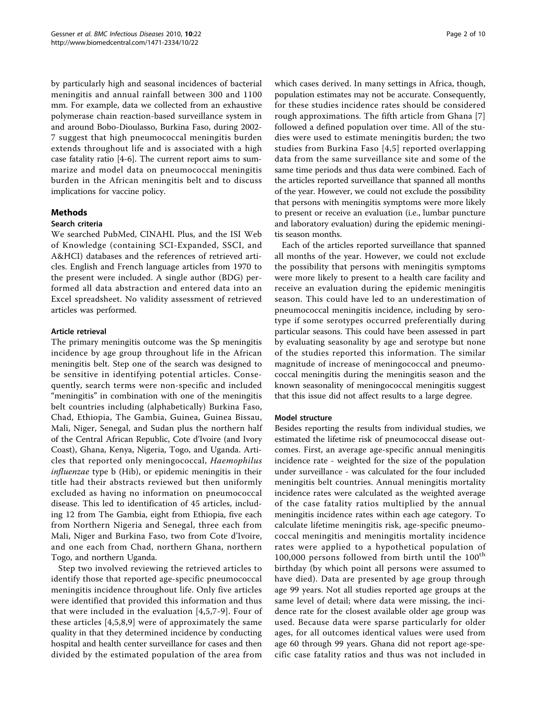by particularly high and seasonal incidences of bacterial meningitis and annual rainfall between 300 and 1100 mm. For example, data we collected from an exhaustive polymerase chain reaction-based surveillance system in and around Bobo-Dioulasso, Burkina Faso, during 2002- 7 suggest that high pneumococcal meningitis burden extends throughout life and is associated with a high case fatality ratio [[4-6](#page-8-0)]. The current report aims to summarize and model data on pneumococcal meningitis burden in the African meningitis belt and to discuss implications for vaccine policy.

## Methods

## Search criteria

We searched PubMed, CINAHL Plus, and the ISI Web of Knowledge (containing SCI-Expanded, SSCI, and A&HCI) databases and the references of retrieved articles. English and French language articles from 1970 to the present were included. A single author (BDG) performed all data abstraction and entered data into an Excel spreadsheet. No validity assessment of retrieved articles was performed.

## Article retrieval

The primary meningitis outcome was the Sp meningitis incidence by age group throughout life in the African meningitis belt. Step one of the search was designed to be sensitive in identifying potential articles. Consequently, search terms were non-specific and included "meningitis" in combination with one of the meningitis belt countries including (alphabetically) Burkina Faso, Chad, Ethiopia, The Gambia, Guinea, Guinea Bissau, Mali, Niger, Senegal, and Sudan plus the northern half of the Central African Republic, Cote d'Ivoire (and Ivory Coast), Ghana, Kenya, Nigeria, Togo, and Uganda. Articles that reported only meningococcal, Haemophilus influenzae type b (Hib), or epidemic meningitis in their title had their abstracts reviewed but then uniformly excluded as having no information on pneumococcal disease. This led to identification of 45 articles, including 12 from The Gambia, eight from Ethiopia, five each from Northern Nigeria and Senegal, three each from Mali, Niger and Burkina Faso, two from Cote d'Ivoire, and one each from Chad, northern Ghana, northern Togo, and northern Uganda.

Step two involved reviewing the retrieved articles to identify those that reported age-specific pneumococcal meningitis incidence throughout life. Only five articles were identified that provided this information and thus that were included in the evaluation [\[4,5](#page-8-0),[7-9\]](#page-8-0). Four of these articles [[4](#page-8-0),[5,8,9](#page-8-0)] were of approximately the same quality in that they determined incidence by conducting hospital and health center surveillance for cases and then divided by the estimated population of the area from which cases derived. In many settings in Africa, though, population estimates may not be accurate. Consequently, for these studies incidence rates should be considered rough approximations. The fifth article from Ghana [\[7](#page-8-0)] followed a defined population over time. All of the studies were used to estimate meningitis burden; the two studies from Burkina Faso [[4](#page-8-0),[5\]](#page-8-0) reported overlapping data from the same surveillance site and some of the same time periods and thus data were combined. Each of the articles reported surveillance that spanned all months of the year. However, we could not exclude the possibility that persons with meningitis symptoms were more likely to present or receive an evaluation (i.e., lumbar puncture and laboratory evaluation) during the epidemic meningitis season months.

Each of the articles reported surveillance that spanned all months of the year. However, we could not exclude the possibility that persons with meningitis symptoms were more likely to present to a health care facility and receive an evaluation during the epidemic meningitis season. This could have led to an underestimation of pneumococcal meningitis incidence, including by serotype if some serotypes occurred preferentially during particular seasons. This could have been assessed in part by evaluating seasonality by age and serotype but none of the studies reported this information. The similar magnitude of increase of meningococcal and pneumococcal meningitis during the meningitis season and the known seasonality of meningococcal meningitis suggest that this issue did not affect results to a large degree.

## Model structure

Besides reporting the results from individual studies, we estimated the lifetime risk of pneumococcal disease outcomes. First, an average age-specific annual meningitis incidence rate - weighted for the size of the population under surveillance - was calculated for the four included meningitis belt countries. Annual meningitis mortality incidence rates were calculated as the weighted average of the case fatality ratios multiplied by the annual meningitis incidence rates within each age category. To calculate lifetime meningitis risk, age-specific pneumococcal meningitis and meningitis mortality incidence rates were applied to a hypothetical population of 100,000 persons followed from birth until the 100<sup>th</sup> birthday (by which point all persons were assumed to have died). Data are presented by age group through age 99 years. Not all studies reported age groups at the same level of detail; where data were missing, the incidence rate for the closest available older age group was used. Because data were sparse particularly for older ages, for all outcomes identical values were used from age 60 through 99 years. Ghana did not report age-specific case fatality ratios and thus was not included in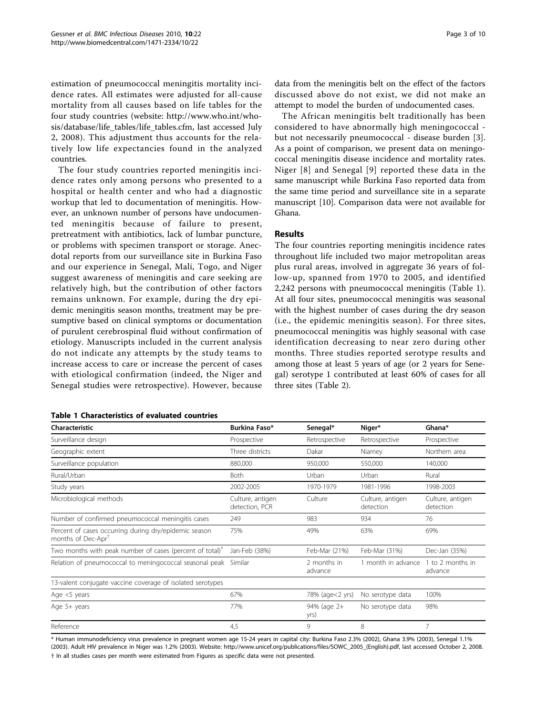estimation of pneumococcal meningitis mortality incidence rates. All estimates were adjusted for all-cause mortality from all causes based on life tables for the four study countries (website: [http://www.who.int/who](http://www.who.int/whosis/database/life_tables/life_tables.cfm)[sis/database/life\\_tables/life\\_tables.cfm](http://www.who.int/whosis/database/life_tables/life_tables.cfm), last accessed July 2, 2008). This adjustment thus accounts for the relatively low life expectancies found in the analyzed countries.

The four study countries reported meningitis incidence rates only among persons who presented to a hospital or health center and who had a diagnostic workup that led to documentation of meningitis. However, an unknown number of persons have undocumented meningitis because of failure to present, pretreatment with antibiotics, lack of lumbar puncture, or problems with specimen transport or storage. Anecdotal reports from our surveillance site in Burkina Faso and our experience in Senegal, Mali, Togo, and Niger suggest awareness of meningitis and care seeking are relatively high, but the contribution of other factors remains unknown. For example, during the dry epidemic meningitis season months, treatment may be presumptive based on clinical symptoms or documentation of purulent cerebrospinal fluid without confirmation of etiology. Manuscripts included in the current analysis do not indicate any attempts by the study teams to increase access to care or increase the percent of cases with etiological confirmation (indeed, the Niger and Senegal studies were retrospective). However, because

| Table 1 Characteristics of evaluated countries |  |
|------------------------------------------------|--|
|------------------------------------------------|--|

data from the meningitis belt on the effect of the factors discussed above do not exist, we did not make an attempt to model the burden of undocumented cases.

The African meningitis belt traditionally has been considered to have abnormally high meningococcal but not necessarily pneumococcal - disease burden [[3](#page-8-0)]. As a point of comparison, we present data on meningococcal meningitis disease incidence and mortality rates. Niger [[8\]](#page-8-0) and Senegal [[9\]](#page-8-0) reported these data in the same manuscript while Burkina Faso reported data from the same time period and surveillance site in a separate manuscript [\[10\]](#page-8-0). Comparison data were not available for Ghana.

## Results

The four countries reporting meningitis incidence rates throughout life included two major metropolitan areas plus rural areas, involved in aggregate 36 years of follow-up, spanned from 1970 to 2005, and identified 2,242 persons with pneumococcal meningitis (Table 1). At all four sites, pneumococcal meningitis was seasonal with the highest number of cases during the dry season (i.e., the epidemic meningitis season). For three sites, pneumococcal meningitis was highly seasonal with case identification decreasing to near zero during other months. Three studies reported serotype results and among those at least 5 years of age (or 2 years for Senegal) serotype 1 contributed at least 60% of cases for all three sites (Table [2\)](#page-3-0).

| Characteristic                                                                          | Burkina Faso*                      | Senegal*               | Niger*                              | Ghana*                        |
|-----------------------------------------------------------------------------------------|------------------------------------|------------------------|-------------------------------------|-------------------------------|
| Surveillance design                                                                     | Prospective                        | Retrospective          | Retrospective                       | Prospective                   |
| Geographic extent                                                                       | Three districts                    | Dakar                  | Niamey                              | Northern area                 |
| Surveillance population                                                                 | 880,000                            | 950,000                | 550,000                             | 140,000                       |
| Rural/Urban                                                                             | <b>Both</b>                        | Urban                  | Urban                               | Rural                         |
| Study years                                                                             | 2002-2005                          | 1970-1979              | 1981-1996                           | 1998-2003                     |
| Microbiological methods                                                                 | Culture, antigen<br>detection, PCR | Culture                | Culture, antigen<br>detection       | Culture, antigen<br>detection |
| Number of confirmed pneumococcal meningitis cases                                       | 249                                | 983                    | 934                                 | 76                            |
| Percent of cases occurring during dry/epidemic season<br>months of Dec-Apr <sup>T</sup> | 75%                                | 49%                    | 63%                                 | 69%                           |
| Two months with peak number of cases (percent of total) <sup>†</sup>                    | Jan-Feb (38%)                      | Feb-Mar (21%)          | Feb-Mar (31%)                       | Dec-Jan (35%)                 |
| Relation of pneumococcal to meningococcal seasonal peak Similar                         |                                    | 2 months in<br>advance | 1 month in advance 1 to 2 months in | advance                       |
| 13-valent conjugate vaccine coverage of isolated serotypes                              |                                    |                        |                                     |                               |
| Age $<$ 5 years                                                                         | 67%                                | 78% (age<2 yrs)        | No serotype data                    | 100%                          |
| Age 5+ years                                                                            | 77%                                | 94% (age 2+<br>yrs)    | No serotype data                    | 98%                           |
| Reference                                                                               | 4,5                                | 9                      | 8                                   | 7                             |

\* Human immunodeficiency virus prevalence in pregnant women age 15-24 years in capital city: Burkina Faso 2.3% (2002), Ghana 3.9% (2003), Senegal 1.1% (2003). Adult HIV prevalence in Niger was 1.2% (2003). Website: [http://www.unicef.org/publications/files/SOWC\\_2005\\_\(English\).pdf,](http://www.biomedcentral.com/1471-2334/10/22) last accessed October 2, 2008. † In all studies cases per month were estimated from Figures as specific data were not presented.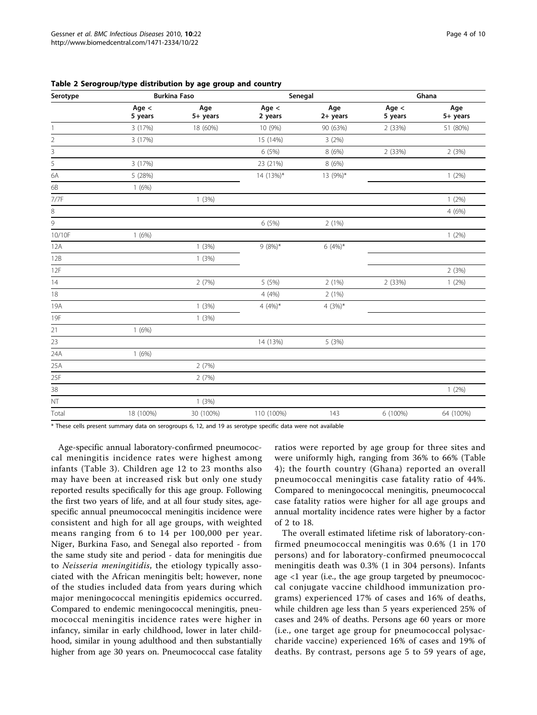| Serotype       | <b>Burkina Faso</b> |                 | Senegal            |                   | Ghana              |                 |
|----------------|---------------------|-----------------|--------------------|-------------------|--------------------|-----------------|
|                | Age $<$<br>5 years  | Age<br>5+ years | Age $<$<br>2 years | Age<br>$2+$ years | Age $<$<br>5 years | Age<br>5+ years |
| $\mathbf{1}$   | 3 (17%)             | 18 (60%)        | 10 (9%)            | 90 (63%)          | 2 (33%)            | 51 (80%)        |
| $\overline{2}$ | 3 (17%)             |                 | 15 (14%)           | 3(2%)             |                    |                 |
| 3              |                     |                 | 6 (5%)             | 8 (6%)            | 2(33%)             | 2(3%)           |
| 5              | 3 (17%)             |                 | 23 (21%)           | 8 (6%)            |                    |                 |
| 6A             | 5 (28%)             |                 | 14 (13%)*          | 13 (9%)*          |                    | 1(2%)           |
| 6B             | 1(6%)               |                 |                    |                   |                    |                 |
| 7/7F           |                     | 1(3%)           |                    |                   |                    | 1(2%)           |
| 8              |                     |                 |                    |                   |                    | 4 (6%)          |
| $\mathsf g$    |                     |                 | 6 (5%)             | 2(1%)             |                    |                 |
| 10/10F         | 1(6%)               |                 |                    |                   |                    | 1(2%)           |
| 12A            |                     | 1(3%)           | $9(8%)*$           | $6(4%)$ *         |                    |                 |
| 12B            |                     | 1(3%)           |                    |                   |                    |                 |
| 12F            |                     |                 |                    |                   |                    | 2(3%)           |
| 14             |                     | 2(7%)           | 5 (5%)             | 2 (1%)            | 2 (33%)            | 1(2%)           |
| $18\,$         |                     |                 | 4(4%)              | 2(1%)             |                    |                 |
| 19A            |                     | 1(3%)           | 4 $(4\%)^*$        | 4 $(3%)^*$        |                    |                 |
| 19F            |                     | 1(3%)           |                    |                   |                    |                 |
| 21             | 1(6%)               |                 |                    |                   |                    |                 |
| 23             |                     |                 | 14 (13%)           | 5 (3%)            |                    |                 |
| 24A            | 1(6%)               |                 |                    |                   |                    |                 |
| 25A            |                     | 2(7%)           |                    |                   |                    |                 |
| 25F            |                     | 2(7%)           |                    |                   |                    |                 |
| 38             |                     |                 |                    |                   |                    | 1(2%)           |
| $\mathsf{NT}$  |                     | 1(3%)           |                    |                   |                    |                 |
| Total          | 18 (100%)           | 30 (100%)       | 110 (100%)         | 143               | 6 (100%)           | 64 (100%)       |

<span id="page-3-0"></span>Table 2 Serogroup/type distribution by age group and country

\* These cells present summary data on serogroups 6, 12, and 19 as serotype specific data were not available

Age-specific annual laboratory-confirmed pneumococcal meningitis incidence rates were highest among infants (Table [3\)](#page-4-0). Children age 12 to 23 months also may have been at increased risk but only one study reported results specifically for this age group. Following the first two years of life, and at all four study sites, agespecific annual pneumococcal meningitis incidence were consistent and high for all age groups, with weighted means ranging from 6 to 14 per 100,000 per year. Niger, Burkina Faso, and Senegal also reported - from the same study site and period - data for meningitis due to Neisseria meningitidis, the etiology typically associated with the African meningitis belt; however, none of the studies included data from years during which major meningococcal meningitis epidemics occurred. Compared to endemic meningococcal meningitis, pneumococcal meningitis incidence rates were higher in infancy, similar in early childhood, lower in later childhood, similar in young adulthood and then substantially higher from age 30 years on. Pneumococcal case fatality ratios were reported by age group for three sites and were uniformly high, ranging from 36% to 66% (Table [4](#page-4-0)); the fourth country (Ghana) reported an overall pneumococcal meningitis case fatality ratio of 44%. Compared to meningococcal meningitis, pneumococcal case fatality ratios were higher for all age groups and annual mortality incidence rates were higher by a factor of 2 to 18.

The overall estimated lifetime risk of laboratory-confirmed pneumococcal meningitis was 0.6% (1 in 170 persons) and for laboratory-confirmed pneumococcal meningitis death was 0.3% (1 in 304 persons). Infants age <1 year (i.e., the age group targeted by pneumococcal conjugate vaccine childhood immunization programs) experienced 17% of cases and 16% of deaths, while children age less than 5 years experienced 25% of cases and 24% of deaths. Persons age 60 years or more (i.e., one target age group for pneumococcal polysaccharide vaccine) experienced 16% of cases and 19% of deaths. By contrast, persons age 5 to 59 years of age,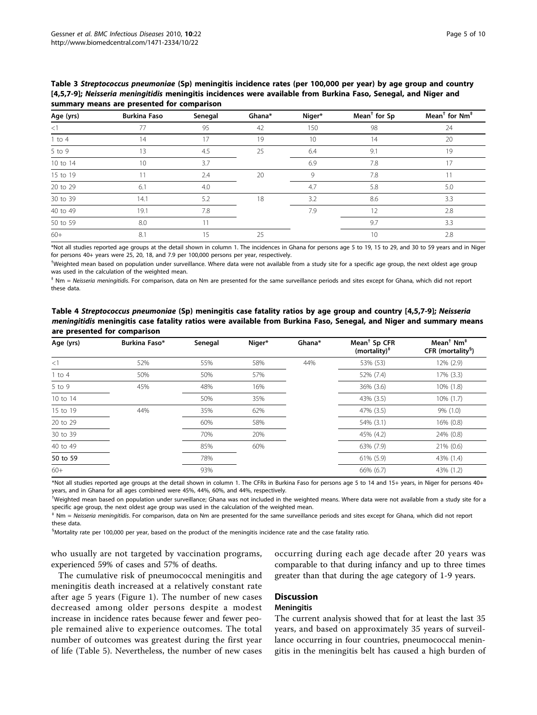| Age (yrs)  | <b>Burkina Faso</b> | Senegal | Ghana* | Niger* | Mean <sup>+</sup> for Sp | Mean <sup>+</sup> for Nm <sup>+</sup> |
|------------|---------------------|---------|--------|--------|--------------------------|---------------------------------------|
| <1         | 77                  | 95      | 42     | 150    | 98                       | 24                                    |
| $1$ to $4$ | 14                  | 17      | 19     | 10     | 14                       | 20                                    |
| 5 to 9     | 13                  | 4.5     | 25     | 6.4    | 9.1                      | 19                                    |
| 10 to 14   | 10 <sup>°</sup>     | 3.7     |        | 6.9    | 7.8                      | 17                                    |
| 15 to 19   | 1                   | 2.4     | 20     | 9      | 7.8                      | 11                                    |
| 20 to 29   | 6.1                 | 4.0     |        | 4.7    | 5.8                      | 5.0                                   |
| 30 to 39   | 14.1                | 5.2     | 18     | 3.2    | 8.6                      | 3.3                                   |
| 40 to 49   | 19.1                | 7.8     |        | 7.9    | 12                       | 2.8                                   |
| 50 to 59   | 8.0                 | 11      |        |        | 9.7                      | 3.3                                   |
| $60+$      | 8.1                 | 15      | 25     |        | 10                       | 2.8                                   |

<span id="page-4-0"></span>Table 3 Streptococcus pneumoniae (Sp) meningitis incidence rates (per 100,000 per year) by age group and country [\[4](#page-8-0),[5,7-9\]](#page-8-0); Neisseria meningitidis meningitis incidences were available from Burkina Faso, Senegal, and Niger and summary means are presented for comparison

\*Not all studies reported age groups at the detail shown in column 1. The incidences in Ghana for persons age 5 to 19, 15 to 29, and 30 to 59 years and in Niger for persons 40+ years were 25, 20, 18, and 7.9 per 100,000 persons per year, respectively.

† Weighted mean based on population under surveillance. Where data were not available from a study site for a specific age group, the next oldest age group was used in the calculation of the weighted mean.

‡ Nm = Neisseria meningitidis. For comparison, data on Nm are presented for the same surveillance periods and sites except for Ghana, which did not report these data.

Table 4 Streptococcus pneumoniae (Sp) meningitis case fatality ratios by age group and country [\[4,5,7-9](#page-8-0)]; Neisseria meningitidis meningitis case fatality ratios were available from Burkina Faso, Senegal, and Niger and summary means are presented for comparison

| Age (yrs)  | Burkina Faso* | Senegal | Niger* | Ghana* | Mean <sup>†</sup> Sp CFR<br>$(mortality)^*$ | Mean <sup>†</sup> $Nm^*$<br>CFR (mortality <sup>9</sup> ) |
|------------|---------------|---------|--------|--------|---------------------------------------------|-----------------------------------------------------------|
| <1         | 52%           | 55%     | 58%    | 44%    | 53% (53)                                    | 12% (2.9)                                                 |
| $1$ to $4$ | 50%           | 50%     | 57%    |        | 52% (7.4)                                   | 17% (3.3)                                                 |
| 5 to 9     | 45%           | 48%     | 16%    |        | 36% (3.6)                                   | 10% (1.8)                                                 |
| 10 to 14   |               | 50%     | 35%    |        | 43% (3.5)                                   | 10% (1.7)                                                 |
| 15 to 19   | 44%           | 35%     | 62%    |        | 47% (3.5)                                   | $9\%$ (1.0)                                               |
| 20 to 29   |               | 60%     | 58%    |        | 54% (3.1)                                   | 16% (0.8)                                                 |
| 30 to 39   |               | 70%     | 20%    |        | 45% (4.2)                                   | 24% (0.8)                                                 |
| 40 to 49   |               | 85%     | 60%    |        | 63% (7.9)                                   | 21% (0.6)                                                 |
| 50 to 59   |               | 78%     |        |        | 61% (5.9)                                   | 43% (1.4)                                                 |
| $60+$      |               | 93%     |        |        | 66% (6.7)                                   | 43% (1.2)                                                 |

\*Not all studies reported age groups at the detail shown in column 1. The CFRs in Burkina Faso for persons age 5 to 14 and 15+ years, in Niger for persons 40+ years, and in Ghana for all ages combined were 45%, 44%, 60%, and 44%, respectively.

† Weighted mean based on population under surveillance; Ghana was not included in the weighted means. Where data were not available from a study site for a specific age group, the next oldest age group was used in the calculation of the weighted mean.

‡ Nm = Neisseria meningitidis. For comparison, data on Nm are presented for the same surveillance periods and sites except for Ghana, which did not report these data

§ Mortality rate per 100,000 per year, based on the product of the meningitis incidence rate and the case fatality ratio.

who usually are not targeted by vaccination programs, experienced 59% of cases and 57% of deaths.

The cumulative risk of pneumococcal meningitis and meningitis death increased at a relatively constant rate after age 5 years (Figure [1](#page-5-0)). The number of new cases decreased among older persons despite a modest increase in incidence rates because fewer and fewer people remained alive to experience outcomes. The total number of outcomes was greatest during the first year of life (Table [5\)](#page-5-0). Nevertheless, the number of new cases occurring during each age decade after 20 years was comparable to that during infancy and up to three times greater than that during the age category of 1-9 years.

## **Discussion**

## **Meningitis**

The current analysis showed that for at least the last 35 years, and based on approximately 35 years of surveillance occurring in four countries, pneumococcal meningitis in the meningitis belt has caused a high burden of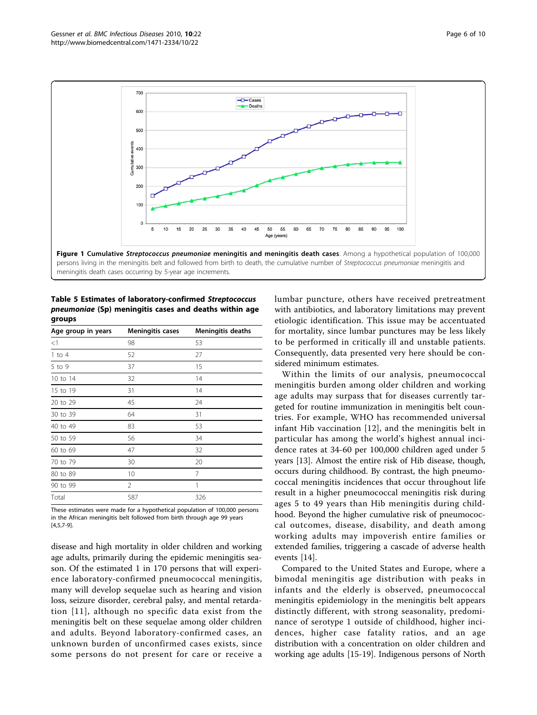<span id="page-5-0"></span>

Table 5 Estimates of laboratory-confirmed Streptococcus pneumoniae (Sp) meningitis cases and deaths within age groups

| Age group in years | <b>Meningitis cases</b> | <b>Meningitis deaths</b> |
|--------------------|-------------------------|--------------------------|
| <1                 | 98                      | 53                       |
| $1$ to $4$         | 52                      | 27                       |
| $5$ to $9$         | 37                      | 15                       |
| 10 to 14           | 32                      | 14                       |
| 15 to 19           | 31                      | 14                       |
| 20 to 29           | 45                      | 24                       |
| 30 to 39           | 64                      | 31                       |
| 40 to 49           | 83                      | 53                       |
| 50 to 59           | 56                      | 34                       |
| 60 to 69           | 47                      | 32                       |
| 70 to 79           | 30                      | 20                       |
| 80 to 89           | 10                      | 7                        |
| 90 to 99           | $\mathfrak{D}$          | 1                        |
| Total              | 587                     | 326                      |

These estimates were made for a hypothetical population of 100,000 persons in the African meningitis belt followed from birth through age 99 years [[4](#page-8-0),[5](#page-8-0),[7-9\]](#page-8-0).

disease and high mortality in older children and working age adults, primarily during the epidemic meningitis season. Of the estimated 1 in 170 persons that will experience laboratory-confirmed pneumococcal meningitis, many will develop sequelae such as hearing and vision loss, seizure disorder, cerebral palsy, and mental retardation [[11\]](#page-8-0), although no specific data exist from the meningitis belt on these sequelae among older children and adults. Beyond laboratory-confirmed cases, an unknown burden of unconfirmed cases exists, since some persons do not present for care or receive a lumbar puncture, others have received pretreatment with antibiotics, and laboratory limitations may prevent etiologic identification. This issue may be accentuated for mortality, since lumbar punctures may be less likely to be performed in critically ill and unstable patients. Consequently, data presented very here should be considered minimum estimates.

Within the limits of our analysis, pneumococcal meningitis burden among older children and working age adults may surpass that for diseases currently targeted for routine immunization in meningitis belt countries. For example, WHO has recommended universal infant Hib vaccination [[12\]](#page-8-0), and the meningitis belt in particular has among the world's highest annual incidence rates at 34-60 per 100,000 children aged under 5 years [[13\]](#page-8-0). Almost the entire risk of Hib disease, though, occurs during childhood. By contrast, the high pneumococcal meningitis incidences that occur throughout life result in a higher pneumococcal meningitis risk during ages 5 to 49 years than Hib meningitis during childhood. Beyond the higher cumulative risk of pneumococcal outcomes, disease, disability, and death among working adults may impoverish entire families or extended families, triggering a cascade of adverse health events [[14](#page-8-0)].

Compared to the United States and Europe, where a bimodal meningitis age distribution with peaks in infants and the elderly is observed, pneumococcal meningitis epidemiology in the meningitis belt appears distinctly different, with strong seasonality, predominance of serotype 1 outside of childhood, higher incidences, higher case fatality ratios, and an age distribution with a concentration on older children and working age adults [\[15](#page-8-0)-[19\]](#page-8-0). Indigenous persons of North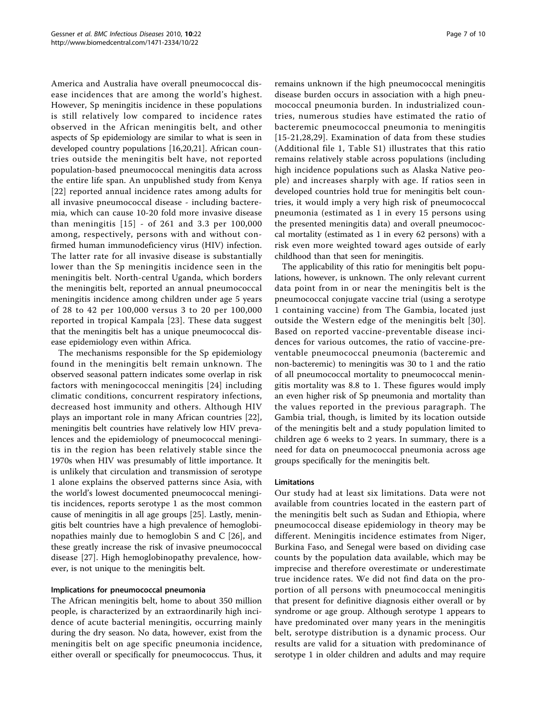America and Australia have overall pneumococcal disease incidences that are among the world's highest. However, Sp meningitis incidence in these populations is still relatively low compared to incidence rates observed in the African meningitis belt, and other aspects of Sp epidemiology are similar to what is seen in developed country populations [\[16](#page-8-0),[20](#page-8-0),[21](#page-8-0)]. African countries outside the meningitis belt have, not reported population-based pneumococcal meningitis data across the entire life span. An unpublished study from Kenya [[22](#page-8-0)] reported annual incidence rates among adults for all invasive pneumococcal disease - including bacteremia, which can cause 10-20 fold more invasive disease than meningitis [[15\]](#page-8-0) - of 261 and 3.3 per 100,000 among, respectively, persons with and without confirmed human immunodeficiency virus (HIV) infection. The latter rate for all invasive disease is substantially lower than the Sp meningitis incidence seen in the meningitis belt. North-central Uganda, which borders the meningitis belt, reported an annual pneumococcal meningitis incidence among children under age 5 years of 28 to 42 per 100,000 versus 3 to 20 per 100,000 reported in tropical Kampala [[23\]](#page-8-0). These data suggest that the meningitis belt has a unique pneumococcal disease epidemiology even within Africa.

The mechanisms responsible for the Sp epidemiology found in the meningitis belt remain unknown. The observed seasonal pattern indicates some overlap in risk factors with meningococcal meningitis [[24](#page-8-0)] including climatic conditions, concurrent respiratory infections, decreased host immunity and others. Although HIV plays an important role in many African countries [\[22](#page-8-0)], meningitis belt countries have relatively low HIV prevalences and the epidemiology of pneumococcal meningitis in the region has been relatively stable since the 1970s when HIV was presumably of little importance. It is unlikely that circulation and transmission of serotype 1 alone explains the observed patterns since Asia, with the world's lowest documented pneumococcal meningitis incidences, reports serotype 1 as the most common cause of meningitis in all age groups [[25\]](#page-8-0). Lastly, meningitis belt countries have a high prevalence of hemoglobinopathies mainly due to hemoglobin S and C [\[26](#page-8-0)], and these greatly increase the risk of invasive pneumococcal disease [[27](#page-8-0)]. High hemoglobinopathy prevalence, however, is not unique to the meningitis belt.

## Implications for pneumococcal pneumonia

The African meningitis belt, home to about 350 million people, is characterized by an extraordinarily high incidence of acute bacterial meningitis, occurring mainly during the dry season. No data, however, exist from the meningitis belt on age specific pneumonia incidence, either overall or specifically for pneumococcus. Thus, it remains unknown if the high pneumococcal meningitis disease burden occurs in association with a high pneumococcal pneumonia burden. In industrialized countries, numerous studies have estimated the ratio of bacteremic pneumococcal pneumonia to meningitis [[15-21,28](#page-8-0),[29\]](#page-8-0). Examination of data from these studies (Additional file [1](#page-7-0), Table S1) illustrates that this ratio remains relatively stable across populations (including high incidence populations such as Alaska Native people) and increases sharply with age. If ratios seen in developed countries hold true for meningitis belt countries, it would imply a very high risk of pneumococcal pneumonia (estimated as 1 in every 15 persons using the presented meningitis data) and overall pneumococcal mortality (estimated as 1 in every 62 persons) with a risk even more weighted toward ages outside of early childhood than that seen for meningitis.

The applicability of this ratio for meningitis belt populations, however, is unknown. The only relevant current data point from in or near the meningitis belt is the pneumococcal conjugate vaccine trial (using a serotype 1 containing vaccine) from The Gambia, located just outside the Western edge of the meningitis belt [[30\]](#page-8-0). Based on reported vaccine-preventable disease incidences for various outcomes, the ratio of vaccine-preventable pneumococcal pneumonia (bacteremic and non-bacteremic) to meningitis was 30 to 1 and the ratio of all pneumococcal mortality to pneumococcal meningitis mortality was 8.8 to 1. These figures would imply an even higher risk of Sp pneumonia and mortality than the values reported in the previous paragraph. The Gambia trial, though, is limited by its location outside of the meningitis belt and a study population limited to children age 6 weeks to 2 years. In summary, there is a need for data on pneumococcal pneumonia across age groups specifically for the meningitis belt.

## Limitations

Our study had at least six limitations. Data were not available from countries located in the eastern part of the meningitis belt such as Sudan and Ethiopia, where pneumococcal disease epidemiology in theory may be different. Meningitis incidence estimates from Niger, Burkina Faso, and Senegal were based on dividing case counts by the population data available, which may be imprecise and therefore overestimate or underestimate true incidence rates. We did not find data on the proportion of all persons with pneumococcal meningitis that present for definitive diagnosis either overall or by syndrome or age group. Although serotype 1 appears to have predominated over many years in the meningitis belt, serotype distribution is a dynamic process. Our results are valid for a situation with predominance of serotype 1 in older children and adults and may require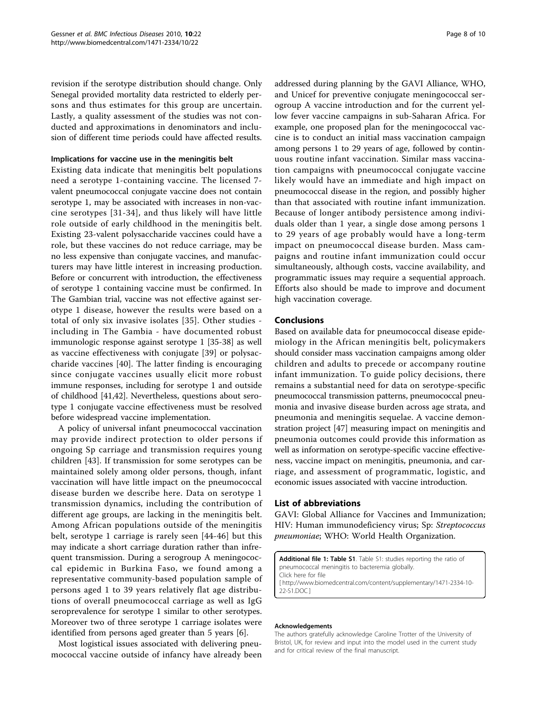<span id="page-7-0"></span>revision if the serotype distribution should change. Only Senegal provided mortality data restricted to elderly persons and thus estimates for this group are uncertain. Lastly, a quality assessment of the studies was not conducted and approximations in denominators and inclusion of different time periods could have affected results.

## Implications for vaccine use in the meningitis belt

Existing data indicate that meningitis belt populations need a serotype 1-containing vaccine. The licensed 7 valent pneumococcal conjugate vaccine does not contain serotype 1, may be associated with increases in non-vaccine serotypes [[31](#page-8-0)-[34](#page-9-0)], and thus likely will have little role outside of early childhood in the meningitis belt. Existing 23-valent polysaccharide vaccines could have a role, but these vaccines do not reduce carriage, may be no less expensive than conjugate vaccines, and manufacturers may have little interest in increasing production. Before or concurrent with introduction, the effectiveness of serotype 1 containing vaccine must be confirmed. In The Gambian trial, vaccine was not effective against serotype 1 disease, however the results were based on a total of only six invasive isolates [[35](#page-9-0)]. Other studies including in The Gambia - have documented robust immunologic response against serotype 1 [\[35-38](#page-9-0)] as well as vaccine effectiveness with conjugate [\[39](#page-9-0)] or polysaccharide vaccines [\[40](#page-9-0)]. The latter finding is encouraging since conjugate vaccines usually elicit more robust immune responses, including for serotype 1 and outside of childhood [[41,42\]](#page-9-0). Nevertheless, questions about serotype 1 conjugate vaccine effectiveness must be resolved before widespread vaccine implementation.

A policy of universal infant pneumococcal vaccination may provide indirect protection to older persons if ongoing Sp carriage and transmission requires young children [\[43](#page-9-0)]. If transmission for some serotypes can be maintained solely among older persons, though, infant vaccination will have little impact on the pneumococcal disease burden we describe here. Data on serotype 1 transmission dynamics, including the contribution of different age groups, are lacking in the meningitis belt. Among African populations outside of the meningitis belt, serotype 1 carriage is rarely seen [[44-46\]](#page-9-0) but this may indicate a short carriage duration rather than infrequent transmission. During a serogroup A meningococcal epidemic in Burkina Faso, we found among a representative community-based population sample of persons aged 1 to 39 years relatively flat age distributions of overall pneumococcal carriage as well as IgG seroprevalence for serotype 1 similar to other serotypes. Moreover two of three serotype 1 carriage isolates were identified from persons aged greater than 5 years [\[6](#page-8-0)].

Most logistical issues associated with delivering pneumococcal vaccine outside of infancy have already been Page 8 of 10

and Unicef for preventive conjugate meningococcal serogroup A vaccine introduction and for the current yellow fever vaccine campaigns in sub-Saharan Africa. For example, one proposed plan for the meningococcal vaccine is to conduct an initial mass vaccination campaign among persons 1 to 29 years of age, followed by continuous routine infant vaccination. Similar mass vaccination campaigns with pneumococcal conjugate vaccine likely would have an immediate and high impact on pneumococcal disease in the region, and possibly higher than that associated with routine infant immunization. Because of longer antibody persistence among individuals older than 1 year, a single dose among persons 1 to 29 years of age probably would have a long-term impact on pneumococcal disease burden. Mass campaigns and routine infant immunization could occur simultaneously, although costs, vaccine availability, and programmatic issues may require a sequential approach. Efforts also should be made to improve and document high vaccination coverage.

## Conclusions

Based on available data for pneumococcal disease epidemiology in the African meningitis belt, policymakers should consider mass vaccination campaigns among older children and adults to precede or accompany routine infant immunization. To guide policy decisions, there remains a substantial need for data on serotype-specific pneumococcal transmission patterns, pneumococcal pneumonia and invasive disease burden across age strata, and pneumonia and meningitis sequelae. A vaccine demonstration project [\[47\]](#page-9-0) measuring impact on meningitis and pneumonia outcomes could provide this information as well as information on serotype-specific vaccine effectiveness, vaccine impact on meningitis, pneumonia, and carriage, and assessment of programmatic, logistic, and economic issues associated with vaccine introduction.

## List of abbreviations

GAVI: Global Alliance for Vaccines and Immunization; HIV: Human immunodeficiency virus; Sp: Streptococcus pneumoniae; WHO: World Health Organization.

Additional file 1: Table S1. Table S1: studies reporting the ratio of pneumococcal meningitis to bacteremia globally. Click here for file [ http://www.biomedcentral.com/content/supplementary/1471-2334-10- 22-S1.DOC ]

#### Acknowledgements

The authors gratefully acknowledge Caroline Trotter of the University of Bristol, UK, for review and input into the model used in the current study and for critical review of the final manuscript.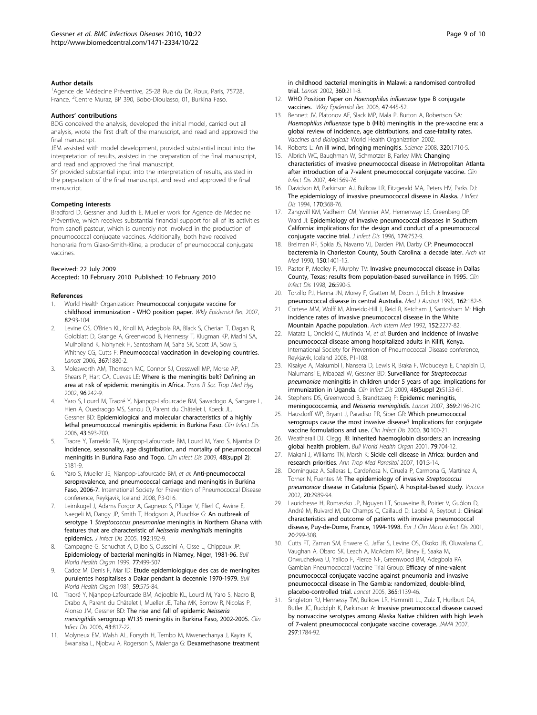#### <span id="page-8-0"></span>Author details

<sup>1</sup>Agence de Médecine Préventive, 25-28 Rue du Dr. Roux, Paris, 75728, France. <sup>2</sup>Centre Muraz, BP 390, Bobo-Dioulasso, 01, Burkina Faso.

#### Authors' contributions

BDG conceived the analysis, developed the initial model, carried out all analysis, wrote the first draft of the manuscript, and read and approved the final manuscript.

JEM assisted with model development, provided substantial input into the interpretation of results, assisted in the preparation of the final manuscript, and read and approved the final manuscript.

SY provided substantial input into the interpretation of results, assisted in the preparation of the final manuscript, and read and approved the final manuscript.

#### Competing interests

Bradford D. Gessner and Judith E. Mueller work for Agence de Médecine Préventive, which receives substantial financial support for all of its activities from sanofi pasteur, which is currently not involved in the production of pneumococcal conjugate vaccines. Additionally, both have received honoraria from Glaxo-Smith-Kline, a producer of pneumococcal conjugate vaccines.

#### Received: 22 July 2009

#### Accepted: 10 February 2010 Published: 10 February 2010

#### References

- World Health Organization: [Pneumococcal conjugate vaccine for](http://www.ncbi.nlm.nih.gov/pubmed/17380597?dopt=Abstract) [childhood immunization - WHO position paper.](http://www.ncbi.nlm.nih.gov/pubmed/17380597?dopt=Abstract) Wkly Epidemiol Rec 2007, 82:93-104.
- Levine OS, O'Brien KL, Knoll M, Adegbola RA, Black S, Cherian T, Dagan R, Goldblatt D, Grange A, Greenwood B, Hennessy T, Klugman KP, Madhi SA, Mulholland K, Nohynek H, Santosham M, Saha SK, Scott JA, Sow S, Whitney CG, Cutts F: [Pneumococcal vaccination in developing countries.](http://www.ncbi.nlm.nih.gov/pubmed/16765742?dopt=Abstract) Lancet 2006, 367:1880-2.
- 3. Molesworth AM, Thomson MC, Connor SJ, Cresswell MP, Morse AP, Shears P, Hart CA, Cuevas LE: [Where is the meningitis belt? Defining an](http://www.ncbi.nlm.nih.gov/pubmed/12174770?dopt=Abstract) [area at risk of epidemic meningitis in Africa.](http://www.ncbi.nlm.nih.gov/pubmed/12174770?dopt=Abstract) Trans R Soc Trop Med Hyg 2002, 96:242-9.
- 4. Yaro S, Lourd M, Traoré Y, Njanpop-Lafourcade BM, Sawadogo A, Sangare L, Hien A, Ouedraogo MS, Sanou O, Parent du Châtelet I, Koeck JL, Gessner BD: [Epidemiological and molecular characteristics of a highly](http://www.ncbi.nlm.nih.gov/pubmed/16912941?dopt=Abstract) [lethal pneumococcal meningitis epidemic in Burkina Faso.](http://www.ncbi.nlm.nih.gov/pubmed/16912941?dopt=Abstract) Clin Infect Dis 2006, 43:693-700.
- 5. Traore Y, Tameklo TA, Njanpop-Lafourcade BM, Lourd M, Yaro S, Njamba D: [Incidence, seasonality, age disgtribution, and mortality of pneumococcal](http://www.ncbi.nlm.nih.gov/pubmed/19191614?dopt=Abstract) [meningitis in Burkina Faso and Togo.](http://www.ncbi.nlm.nih.gov/pubmed/19191614?dopt=Abstract) Clin Infect Dis 2009, 48(suppl 2): S181-9.
- Yaro S, Mueller JE, Njanpop-Lafourcade BM, et al: Anti-pneumococcal seroprevalence, and pneumococcal carriage and meningitis in Burkina Faso, 2006-7. International Society for Prevention of Pneumococcal Disease conference, Reykjavik, Iceland 2008, P3-016.
- 7. Leimkugel J, Adams Forgor A, Gagneux S, Pflüger V, Flierl C, Awine E, Naegeli M, Dangy JP, Smith T, Hodgson A, Pluschke G: [An outbreak of](http://www.ncbi.nlm.nih.gov/pubmed/15962213?dopt=Abstract) serotype 1 Streptococcus pneumoniae [meningitis in Northern Ghana with](http://www.ncbi.nlm.nih.gov/pubmed/15962213?dopt=Abstract) [features that are characteristic of](http://www.ncbi.nlm.nih.gov/pubmed/15962213?dopt=Abstract) Neisseria meningitidis meningitis [epidemics.](http://www.ncbi.nlm.nih.gov/pubmed/15962213?dopt=Abstract) J Infect Dis 2005, 192:192-9.
- 8. Campagne G, Schuchat A, Djibo S, Ousseini A, Cisse L, Chippaux JP: [Epidemiology of bacterial meningitis in Niamey, Niger, 1981-96.](http://www.ncbi.nlm.nih.gov/pubmed/10427935?dopt=Abstract) Bull World Health Organ 1999, 77:499-507.
- Cadoz M, Denis F, Mar ID: [Etude epidemiologique des cas de meningites](http://www.ncbi.nlm.nih.gov/pubmed/6976227?dopt=Abstract) [purulentes hospitalises a Dakar pendant la decennie 1970-1979.](http://www.ncbi.nlm.nih.gov/pubmed/6976227?dopt=Abstract) Bull World Health Organ 1981, 59:575-84.
- 10. Traoré Y, Njanpop-Lafourcade BM, Adjogble KL, Lourd M, Yaro S, Nacro B, Drabo A, Parent du Châtelet I, Mueller JE, Taha MK, Borrow R, Nicolas P, Alonso JM, Gessner BD: [The rise and fall of epidemic](http://www.ncbi.nlm.nih.gov/pubmed/16941360?dopt=Abstract) Neisseria meningitidis [serogroup W135 meningitis in Burkina Faso, 2002-2005.](http://www.ncbi.nlm.nih.gov/pubmed/16941360?dopt=Abstract) Clin Infect Dis 2006, 43:817-22.
- 11. Molyneux EM, Walsh AL, Forsyth H, Tembo M, Mwenechanya J, Kayira K, Bwanaisa L, Njobvu A, Rogerson S, Malenga G: [Dexamethasone treatment](http://www.ncbi.nlm.nih.gov/pubmed/12133656?dopt=Abstract)

[in childhood bacterial meningitis in Malawi: a randomised controlled](http://www.ncbi.nlm.nih.gov/pubmed/12133656?dopt=Abstract) [trial.](http://www.ncbi.nlm.nih.gov/pubmed/12133656?dopt=Abstract) Lancet 2002, 360:211-8.

- 12. WHO Position Paper on Haemophilus influenzae type B conjugate vaccines. Wkly Epidemiol Rec 2006, 47:445-52.
- 13. Bennett JV, Platonov AE, Slack MP, Mala P, Burton A, Robertson SA: Haemophilus influenzae type b (Hib) meningitis in the pre-vaccine era: a global review of incidence, age distributions, and case-fatality rates. Vaccines and Biologicals World Health Organization 2002.
- 14. Roberts L: [An ill wind, bringing meningitis.](http://www.ncbi.nlm.nih.gov/pubmed/18583588?dopt=Abstract) Science 2008, 320:1710-5.
- 15. Albrich WC, Baughman W, Schmotzer B, Farley MM: [Changing](http://www.ncbi.nlm.nih.gov/pubmed/17516400?dopt=Abstract) [characteristics of invasive pneumococcal disease in Metropolitan Atlanta](http://www.ncbi.nlm.nih.gov/pubmed/17516400?dopt=Abstract) [after introduction of a 7-valent pneumococcal conjugate vaccine.](http://www.ncbi.nlm.nih.gov/pubmed/17516400?dopt=Abstract) Clin Infect Dis 2007, 44:1569-76.
- 16. Davidson M, Parkinson AJ, Bulkow LR, Fitzgerald MA, Peters HV, Parks DJ: [The epidemiology of invasive pneumococcal disease in Alaska.](http://www.ncbi.nlm.nih.gov/pubmed/8035023?dopt=Abstract) J Infect Dis 1994, 170:368-76.
- 17. Zangwill KM, Vadheim CM, Vannier AM, Hemenway LS, Greenberg DP, Ward JI: [Epidemiology of invasive pneumococcal diseases in Southern](http://www.ncbi.nlm.nih.gov/pubmed/8843213?dopt=Abstract) [California: implications for the design and conduct of a pneumococcal](http://www.ncbi.nlm.nih.gov/pubmed/8843213?dopt=Abstract) [conjugate vaccine trial.](http://www.ncbi.nlm.nih.gov/pubmed/8843213?dopt=Abstract) J Infect Dis 1996, 174:752-9.
- 18. Breiman RF, Spkia JS, Navarro VJ, Darden PM, Darby CP: Pneumococcal bacteremia in Charleston County, South Carolina: a decade later. Arch Int Med 1990 150:1401-15
- 19. Pastor P, Medley F, Murphy TV: [Invasive pneumococcal disease in Dallas](http://www.ncbi.nlm.nih.gov/pubmed/9524828?dopt=Abstract) [County, Texas; results from population-based surveillance in 1995.](http://www.ncbi.nlm.nih.gov/pubmed/9524828?dopt=Abstract) Clin Infect Dis 1998, 26:590-5.
- 20. Torzillo PJ, Hanna JN, Morey F, Gratten M, Dixon J, Erlich J: [Invasive](http://www.ncbi.nlm.nih.gov/pubmed/7877538?dopt=Abstract) [pneumococcal disease in central Australia.](http://www.ncbi.nlm.nih.gov/pubmed/7877538?dopt=Abstract) Med J Austral 1995, 162:182-6.
- 21. Cortese MM, Wolff M, Almeido-Hill J, Reid R, Ketcham J, Santosham M: [High](http://www.ncbi.nlm.nih.gov/pubmed/1444688?dopt=Abstract) [incidence rates of invasive pneumococcal disease in the White](http://www.ncbi.nlm.nih.gov/pubmed/1444688?dopt=Abstract) [Mountain Apache population.](http://www.ncbi.nlm.nih.gov/pubmed/1444688?dopt=Abstract) Arch Intern Med 1992, 152:2277-82.
- 22. Matata L, Ondieki C, Mutinda M, et al: Burden and incidence of invasive pneumococcal disease among hospitalized adults in Kilifi, Kenya. International Society for Prevention of Pneumococcal Disease conference, Reykjavik, Iceland 2008, P1-108.
- 23. Kisakye A, Makumbi I, Nansera D, Lewis R, Braka F, Wobudeya E, Chaplain D, Nalumansi E, Mbabazi W, Gessner BD: [Surveillance for](http://www.ncbi.nlm.nih.gov/pubmed/19191611?dopt=Abstract) Streptococcus pneumoniae [meningitis in children under 5 years of age: implications for](http://www.ncbi.nlm.nih.gov/pubmed/19191611?dopt=Abstract) [immunization in Uganda.](http://www.ncbi.nlm.nih.gov/pubmed/19191611?dopt=Abstract) Clin Infect Dis 2009, 48(Suppl 2):S153-61.
- 24. Stephens DS, Greenwood B, Brandtzaeg P: [Epidemic meningitis,](http://www.ncbi.nlm.nih.gov/pubmed/17604802?dopt=Abstract) [meningococcemia, and](http://www.ncbi.nlm.nih.gov/pubmed/17604802?dopt=Abstract) Neisseria meningitidis. Lancet 2007, 369:2196-210.
- 25. Hausdorff WP, Bryant J, Paradiso PR, Siber GR: [Which pneumococcal](http://www.ncbi.nlm.nih.gov/pubmed/10619740?dopt=Abstract) [serogroups cause the most invasive disease? Implications for conjugate](http://www.ncbi.nlm.nih.gov/pubmed/10619740?dopt=Abstract) [vaccine formulations and use.](http://www.ncbi.nlm.nih.gov/pubmed/10619740?dopt=Abstract) Clin Infect Dis 2000, 30:100-21.
- 26. Weatherall DJ, Clegg JB: [Inherited haemoglobin disorders: an increasing](http://www.ncbi.nlm.nih.gov/pubmed/11545326?dopt=Abstract) [global health problem.](http://www.ncbi.nlm.nih.gov/pubmed/11545326?dopt=Abstract) Bull World Health Organ 2001, 79:704-12.
- 27. Makani J, Williams TN, Marsh K: [Sickle cell disease in Africa: burden and](http://www.ncbi.nlm.nih.gov/pubmed/17244405?dopt=Abstract) [research priorities.](http://www.ncbi.nlm.nih.gov/pubmed/17244405?dopt=Abstract) Ann Trop Med Parasitol 2007, 101:3-14.
- 28. Domínguez A, Salleras L, Cardeñosa N, Ciruela P, Carmona G, Martínez A, Torner N, Fuentes M: [The epidemiology of invasive](http://www.ncbi.nlm.nih.gov/pubmed/12126912?dopt=Abstract) Streptococcus pneumoniae [disease in Catalonia \(Spain\). A hospital-based study.](http://www.ncbi.nlm.nih.gov/pubmed/12126912?dopt=Abstract) Vaccine 2002, 20:2989-94.
- 29. Laurichesse H, Romaszko JP, Nguyen LT, Souweine B, Poirier V, Guólon D, André M, Ruivard M, De Champs C, Caillaud D, Labbé A, Beytout J: Clinical characteristics and outcome of patients with invasive pneumococcal disease, Puy-de-Dome, France, 1994-1998. Eur J Clin Micro Infect Dis 2001, 20:299-308.
- 30. Cutts FT, Zaman SM, Enwere G, Jaffar S, Levine OS, Okoko JB, Oluwalana C, Vaughan A, Obaro SK, Leach A, McAdam KP, Biney E, Saaka M, Onwuchekwa U, Yallop F, Pierce NF, Greenwood BM, Adegbola RA, Gambian Pneumococcal Vaccine Trial Group: [Efficacy of nine-valent](http://www.ncbi.nlm.nih.gov/pubmed/15794968?dopt=Abstract) [pneumococcal conjugate vaccine against pneumonia and invasive](http://www.ncbi.nlm.nih.gov/pubmed/15794968?dopt=Abstract) [pneumococcal disease in The Gambia: randomized, double-blind,](http://www.ncbi.nlm.nih.gov/pubmed/15794968?dopt=Abstract) [placebo-controlled trial.](http://www.ncbi.nlm.nih.gov/pubmed/15794968?dopt=Abstract) Lancet 2005, 365:1139-46.
- 31. Singleton RJ, Hennessy TW, Bulkow LR, Hammitt LL, Zulz T, Hurlburt DA, Butler JC, Rudolph K, Parkinson A: [Invasive pneumococcal disease caused](http://www.ncbi.nlm.nih.gov/pubmed/17456820?dopt=Abstract) [by nonvaccine serotypes among Alaska Native children with high levels](http://www.ncbi.nlm.nih.gov/pubmed/17456820?dopt=Abstract) [of 7-valent pneumococcal conjugate vaccine coverage.](http://www.ncbi.nlm.nih.gov/pubmed/17456820?dopt=Abstract) JAMA 2007, 297:1784-92.